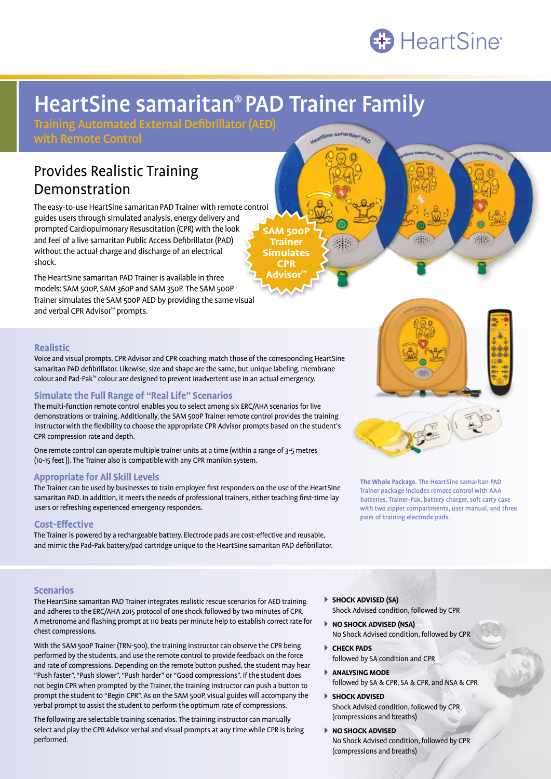

# HeartSine samaritan® PAD Trainer Family

**AM 500P Trainer Simulates CPR Advisor™**

Training Automated External Defibrillator (AED)

with Remote Control

# Provides Realistic Training Demonstration

The easy-to-use HeartSine samaritanPAD Trainer with remote control guides users through simulated analysis, energy delivery and prompted Cardiopulmonary Resuscitation (CPR) with the look and feel of a live samaritan Public Access Defibrillator (PAD) without the actual charge and discharge of an electrical shock.

The HeartSine samaritan PAD Trainer is available in three models: SAM 500P, SAM 360P and SAM 350P. The SAM 500P Trainer simulates the SAM 500P AED by providing the same visual and verbal CPR Advisor™ prompts.



38

**The Whole Package.** The HeartSine samaritan PAD Trainer package includes remote control with AAA batteries, Trainer-Pak, battery charger, soft carry case with two zipper compartments, user manual, and three pairs of training electrode pads.

# **Realistic**

Voice and visual prompts, CPR Advisor and CPR coaching match those of the corresponding HeartSine samaritan PAD defibrillator. Likewise, size and shape are the same, but unique labeling, membrane colour and Pad-Pak™ colour are designed to prevent inadvertent use in an actual emergency.

## **Simulate the Full Range of "Real Life" Scenarios**

The multi-function remote control enables you to select among six ERC/AHA scenarios for live demonstrations or training. Additionally, the SAM 500P Trainer remote control provides the training instructor with the flexibility to choose the appropriate CPR Advisor prompts based on the student's CPR compression rate and depth.

One remote control can operate multiple trainer units at a time (within a range of 3-5 metres (10-15 feet )). The Trainer also is compatible with any CPR manikin system.

### **Appropriate for All Skill Levels**

The Trainer can be used by businesses to train employee first responders on the use of the HeartSine samaritan PAD. In addition, it meets the needs of professional trainers, either teaching first-time lay users or refreshing experienced emergency responders.

### **Cost-Effective**

The Trainer is powered by a rechargeable battery. Electrode pads are cost-effective and reusable, and mimic the Pad-Pak battery/pad cartridge unique to the HeartSine samaritan PAD defibrillator.

### **Scenarios**

The HeartSine samaritan PAD Trainer integrates realistic rescue scenarios for AED training and adheres to the ERC/AHA 2015 protocol of one shock followed by two minutes of CPR. A metronome and flashing prompt at 110 beats per minute help to establish correct rate for chest compressions.

With the SAM 500P Trainer (TRN-500), the training instructor can observe the CPR being performed by the students, and use the remote control to provide feedback on the force and rate of compressions. Depending on the remote button pushed, the student may hear "Push faster", "Push slower", "Push harder" or "Good compressions". If the student does not begin CPR when prompted by the Trainer, the training instructor can push a button to prompt the student to "Begin CPR". As on the SAM 500P, visual guides will accompany the verbal prompt to assist the student to perform the optimum rate of compressions.

The following are selectable training scenarios. The training instructor can manually select and play the CPR Advisor verbal and visual prompts at any time while CPR is being performed.

- **SHOCK ADVISED (SA)** Shock Advised condition, followed by CPR
- **NO SHOCK ADVISED (NSA)** No Shock Advised condition, followed by CPR
- **CHECK PADS** followed by SA condition and CPR
- **ANALYSING MODE** followed by SA & CPR, SA & CPR, and NSA & CPR
- **SHOCK ADVISED** Shock Advised condition, followed by CPR (compressions and breaths)
- **NO SHOCK ADVISED** No Shock Advised condition, followed by CPR (compressions and breaths)